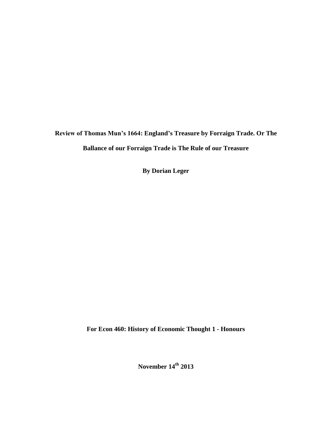**Review of Thomas Mun's 1664: England's Treasure by Forraign Trade. Or The Ballance of our Forraign Trade is The Rule of our Treasure** 

**By Dorian Leger**

**For Econ 460: History of Economic Thought 1 - Honours**

**November 14th 2013**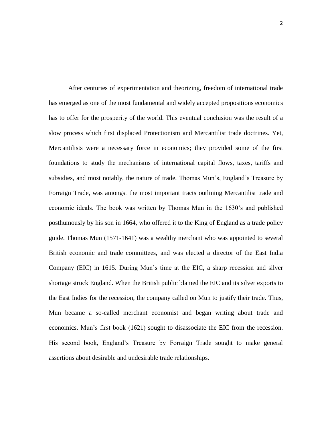After centuries of experimentation and theorizing, freedom of international trade has emerged as one of the most fundamental and widely accepted propositions economics has to offer for the prosperity of the world. This eventual conclusion was the result of a slow process which first displaced Protectionism and Mercantilist trade doctrines. Yet, Mercantilists were a necessary force in economics; they provided some of the first foundations to study the mechanisms of international capital flows, taxes, tariffs and subsidies, and most notably, the nature of trade. Thomas Mun's, England's Treasure by Forraign Trade, was amongst the most important tracts outlining Mercantilist trade and economic ideals. The book was written by Thomas Mun in the 1630's and published posthumously by his son in 1664, who offered it to the King of England as a trade policy guide. Thomas Mun (1571-1641) was a wealthy merchant who was appointed to several British economic and trade committees, and was elected a director of the East India Company (EIC) in 1615. During Mun's time at the EIC, a sharp recession and silver shortage struck England. When the British public blamed the EIC and its silver exports to the East Indies for the recession, the company called on Mun to justify their trade. Thus, Mun became a so-called merchant economist and began writing about trade and economics. Mun's first book (1621) sought to disassociate the EIC from the recession. His second book, England's Treasure by Forraign Trade sought to make general assertions about desirable and undesirable trade relationships.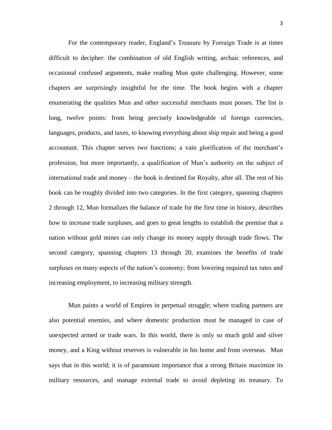For the contemporary reader, England's Treasure by Forraign Trade is at times difficult to decipher: the combination of old English writing, archaic references, and occasional confused arguments, make reading Mun quite challenging. However, some chapters are surprisingly insightful for the time. The book begins with a chapter enumerating the qualities Mun and other successful merchants must posses. The list is long, twelve points: from being precisely knowledgeable of foreign currencies, languages, products, and taxes, to knowing everything about ship repair and being a good accountant. This chapter serves two functions; a vain glorification of the merchant's profession, but more importantly, a qualification of Mun's authority on the subject of international trade and money – the book is destined for Royalty, after all. The rest of his book can be roughly divided into two categories. In the first category, spanning chapters 2 through 12, Mun formalizes the balance of trade for the first time in history, describes how to increase trade surpluses, and goes to great lengths to establish the premise that a nation without gold mines can only change its money supply through trade flows. The second category, spanning chapters 13 through 20, examines the benefits of trade surpluses on many aspects of the nation's economy; from lowering required tax rates and increasing employment, to increasing military strength.

Mun paints a world of Empires in perpetual struggle; where trading partners are also potential enemies, and where domestic production must be managed in case of unexpected armed or trade wars. In this world, there is only so much gold and silver money, and a King without reserves is vulnerable in his home and from overseas. Mun says that in this world; it is of paramount importance that a strong Britain maximize its military resources, and manage external trade to avoid depleting its treasury. To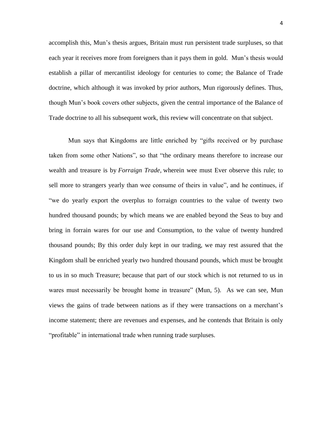accomplish this, Mun's thesis argues, Britain must run persistent trade surpluses, so that each year it receives more from foreigners than it pays them in gold. Mun's thesis would establish a pillar of mercantilist ideology for centuries to come; the Balance of Trade doctrine, which although it was invoked by prior authors, Mun rigorously defines. Thus, though Mun's book covers other subjects, given the central importance of the Balance of Trade doctrine to all his subsequent work, this review will concentrate on that subject.

Mun says that Kingdoms are little enriched by "gifts received or by purchase taken from some other Nations", so that "the ordinary means therefore to increase our wealth and treasure is by *Forraign Trade,* wherein wee must Ever observe this rule; to sell more to strangers yearly than wee consume of theirs in value", and he continues, if "we do yearly export the overplus to forraign countries to the value of twenty two hundred thousand pounds; by which means we are enabled beyond the Seas to buy and bring in forrain wares for our use and Consumption, to the value of twenty hundred thousand pounds; By this order duly kept in our trading, we may rest assured that the Kingdom shall be enriched yearly two hundred thousand pounds, which must be brought to us in so much Treasure; because that part of our stock which is not returned to us in wares must necessarily be brought home in treasure" (Mun, 5). As we can see, Mun views the gains of trade between nations as if they were transactions on a merchant's income statement; there are revenues and expenses, and he contends that Britain is only "profitable" in international trade when running trade surpluses.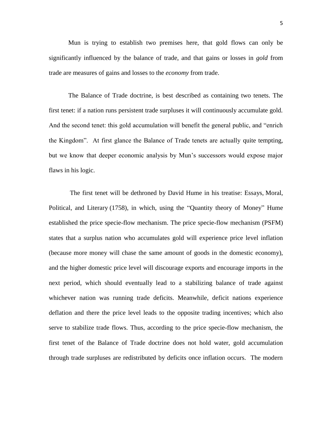Mun is trying to establish two premises here, that gold flows can only be significantly influenced by the balance of trade, and that gains or losses in *gold* from trade are measures of gains and losses to the *economy* from trade.

The Balance of Trade doctrine, is best described as containing two tenets. The first tenet: if a nation runs persistent trade surpluses it will continuously accumulate gold. And the second tenet: this gold accumulation will benefit the general public, and "enrich the Kingdom". At first glance the Balance of Trade tenets are actually quite tempting, but we know that deeper economic analysis by Mun's successors would expose major flaws in his logic.

The first tenet will be dethroned by David Hume in his treatise: Essays, Moral, Political, and Literary (1758), in which, using the "Quantity theory of Money" Hume established the price specie-flow mechanism. The price specie-flow mechanism (PSFM) states that a surplus nation who accumulates gold will experience price level inflation (because more money will chase the same amount of goods in the domestic economy), and the higher domestic price level will discourage exports and encourage imports in the next period, which should eventually lead to a stabilizing balance of trade against whichever nation was running trade deficits. Meanwhile, deficit nations experience deflation and there the price level leads to the opposite trading incentives; which also serve to stabilize trade flows. Thus, according to the price specie-flow mechanism, the first tenet of the Balance of Trade doctrine does not hold water, gold accumulation through trade surpluses are redistributed by deficits once inflation occurs. The modern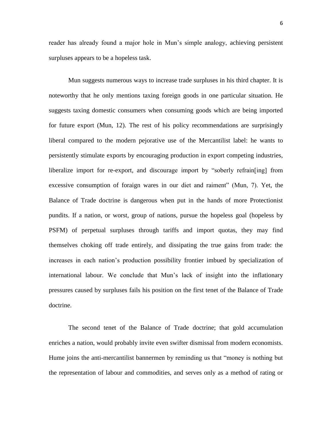reader has already found a major hole in Mun's simple analogy, achieving persistent surpluses appears to be a hopeless task.

Mun suggests numerous ways to increase trade surpluses in his third chapter. It is noteworthy that he only mentions taxing foreign goods in one particular situation. He suggests taxing domestic consumers when consuming goods which are being imported for future export (Mun, 12). The rest of his policy recommendations are surprisingly liberal compared to the modern pejorative use of the Mercantilist label: he wants to persistently stimulate exports by encouraging production in export competing industries, liberalize import for re-export, and discourage import by "soberly refrain[ing] from excessive consumption of foraign wares in our diet and raiment" (Mun, 7). Yet, the Balance of Trade doctrine is dangerous when put in the hands of more Protectionist pundits. If a nation, or worst, group of nations, pursue the hopeless goal (hopeless by PSFM) of perpetual surpluses through tariffs and import quotas, they may find themselves choking off trade entirely, and dissipating the true gains from trade: the increases in each nation's production possibility frontier imbued by specialization of international labour. We conclude that Mun's lack of insight into the inflationary pressures caused by surpluses fails his position on the first tenet of the Balance of Trade doctrine.

The second tenet of the Balance of Trade doctrine; that gold accumulation enriches a nation, would probably invite even swifter dismissal from modern economists. Hume joins the anti-mercantilist bannermen by reminding us that "money is nothing but the representation of labour and commodities, and serves only as a method of rating or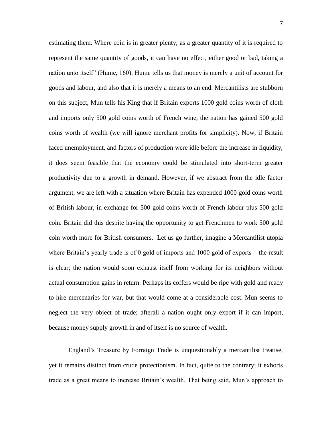estimating them. Where coin is in greater plenty; as a greater quantity of it is required to represent the same quantity of goods, it can have no effect, either good or bad, taking a nation unto itself" (Hume, 160). Hume tells us that money is merely a unit of account for goods and labour, and also that it is merely a means to an end. Mercantilists are stubborn on this subject, Mun tells his King that if Britain exports 1000 gold coins worth of cloth and imports only 500 gold coins worth of French wine, the nation has gained 500 gold coins worth of wealth (we will ignore merchant profits for simplicity). Now, if Britain faced unemployment, and factors of production were idle before the increase in liquidity, it does seem feasible that the economy could be stimulated into short-term greater productivity due to a growth in demand. However, if we abstract from the idle factor argument, we are left with a situation where Britain has expended 1000 gold coins worth of British labour, in exchange for 500 gold coins worth of French labour plus 500 gold coin. Britain did this despite having the opportunity to get Frenchmen to work 500 gold coin worth more for British consumers. Let us go further, imagine a Mercantilist utopia where Britain's yearly trade is of 0 gold of imports and 1000 gold of exports – the result is clear; the nation would soon exhaust itself from working for its neighbors without actual consumption gains in return. Perhaps its coffers would be ripe with gold and ready to hire mercenaries for war, but that would come at a considerable cost. Mun seems to neglect the very object of trade; afterall a nation ought only export if it can import, because money supply growth in and of itself is no source of wealth.

England's Treasure by Forraign Trade is unquestionably a mercantilist treatise, yet it remains distinct from crude protectionism. In fact, quite to the contrary; it exhorts trade as a great means to increase Britain's wealth. That being said, Mun's approach to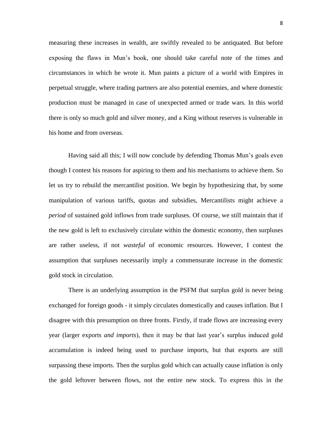measuring these increases in wealth, are swiftly revealed to be antiquated. But before exposing the flaws in Mun's book, one should take careful note of the times and circumstances in which he wrote it. Mun paints a picture of a world with Empires in perpetual struggle, where trading partners are also potential enemies, and where domestic production must be managed in case of unexpected armed or trade wars. In this world there is only so much gold and silver money, and a King without reserves is vulnerable in his home and from overseas.

Having said all this; I will now conclude by defending Thomas Mun's goals even though I contest his reasons for aspiring to them and his mechanisms to achieve them. So let us try to rebuild the mercantilist position. We begin by hypothesizing that, by some manipulation of various tariffs, quotas and subsidies, Mercantilists might achieve a *period* of sustained gold inflows from trade surpluses. Of course, we still maintain that if the new gold is left to exclusively circulate within the domestic economy, then surpluses are rather useless, if not *wasteful* of economic resources. However, I contest the assumption that surpluses necessarily imply a commensurate increase in the domestic gold stock in circulation.

There is an underlying assumption in the PSFM that surplus gold is never being exchanged for foreign goods - it simply circulates domestically and causes inflation. But I disagree with this presumption on three fronts. Firstly, if trade flows are increasing every year (larger exports *and imports*), then it may be that last year's surplus induced gold accumulation is indeed being used to purchase imports, but that exports are still surpassing these imports. Then the surplus gold which can actually cause inflation is only the gold leftover between flows, not the entire new stock. To express this in the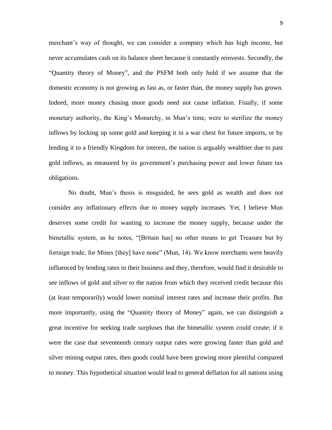merchant's way of thought, we can consider a company which has high income, but never accumulates cash on its balance sheet because it constantly reinvests. Secondly, the "Quantity theory of Money", and the PSFM both only hold if we assume that the domestic economy is not growing as fast as, or faster than, the money supply has grown. Indeed, more money chasing more goods need not cause inflation. Finally, if some monetary authority, the King's Monarchy, in Mun's time, were to sterilize the money inflows by locking up some gold and keeping it in a war chest for future imports, or by lending it to a friendly Kingdom for interest, the nation *is* arguably wealthier due to past gold inflows, as measured by its government's purchasing power and lower future tax obligations.

No doubt, Mun's thesis is misguided, he sees gold as wealth and does not consider any inflationary effects due to money supply increases. Yet, I believe Mun deserves some credit for wanting to increase the money supply, because under the bimetallic system, as he notes, "[Britain has] no other means to get Treasure but by forraign trade, for Mines [they] have none" (Mun, 14). We know merchants were heavily influenced by lending rates in their business and they, therefore, would find it desirable to see inflows of gold and silver to the nation from which they received credit because this (at least temporarily) would lower nominal interest rates and increase their profits. But more importantly, using the "Quantity theory of Money" again, we can distinguish a great incentive for seeking trade surpluses that the bimetallic system could create; if it were the case that seventeenth century output rates were growing faster than gold and silver mining output rates, then goods could have been growing more plentiful compared to money. This hypothetical situation would lead to general deflation for all nations using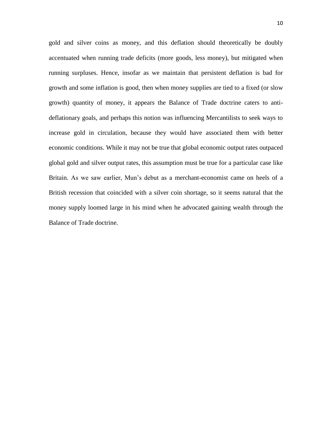gold and silver coins as money, and this deflation should theoretically be doubly accentuated when running trade deficits (more goods, less money), but mitigated when running surpluses. Hence, insofar as we maintain that persistent deflation is bad for growth and some inflation is good, then when money supplies are tied to a fixed (or slow growth) quantity of money, it appears the Balance of Trade doctrine caters to antideflationary goals, and perhaps this notion was influencing Mercantilists to seek ways to increase gold in circulation, because they would have associated them with better economic conditions. While it may not be true that global economic output rates outpaced global gold and silver output rates, this assumption must be true for a particular case like Britain. As we saw earlier, Mun's debut as a merchant-economist came on heels of a British recession that coincided with a silver coin shortage, so it seems natural that the money supply loomed large in his mind when he advocated gaining wealth through the Balance of Trade doctrine.